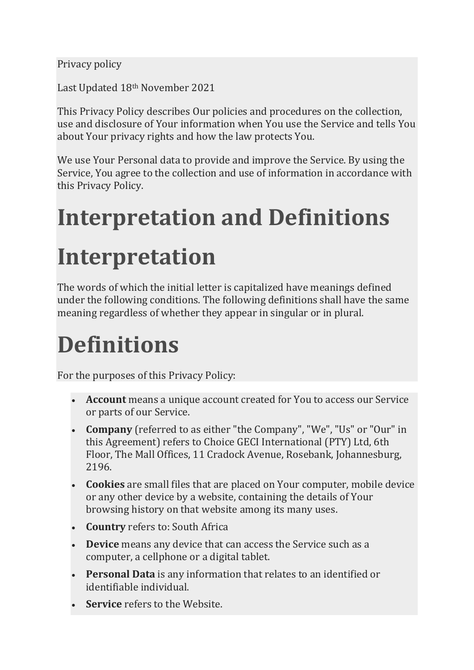Privacy policy

Last Updated 18th November 2021

This Privacy Policy describes Our policies and procedures on the collection, use and disclosure of Your information when You use the Service and tells You about Your privacy rights and how the law protects You.

We use Your Personal data to provide and improve the Service. By using the Service, You agree to the collection and use of information in accordance with this Privacy Policy.

# Interpretation and Definitions Interpretation

The words of which the initial letter is capitalized have meanings defined under the following conditions. The following definitions shall have the same meaning regardless of whether they appear in singular or in plural.

# **Definitions**

For the purposes of this Privacy Policy:

- Account means a unique account created for You to access our Service or parts of our Service.
- Company (referred to as either "the Company", "We", "Us" or "Our" in this Agreement) refers to Choice GECI International (PTY) Ltd, 6th Floor, The Mall Offices, 11 Cradock Avenue, Rosebank, Johannesburg, 2196.
- Cookies are small files that are placed on Your computer, mobile device or any other device by a website, containing the details of Your browsing history on that website among its many uses.
- Country refers to: South Africa
- Device means any device that can access the Service such as a computer, a cellphone or a digital tablet.
- Personal Data is any information that relates to an identified or identifiable individual.
- Service refers to the Website.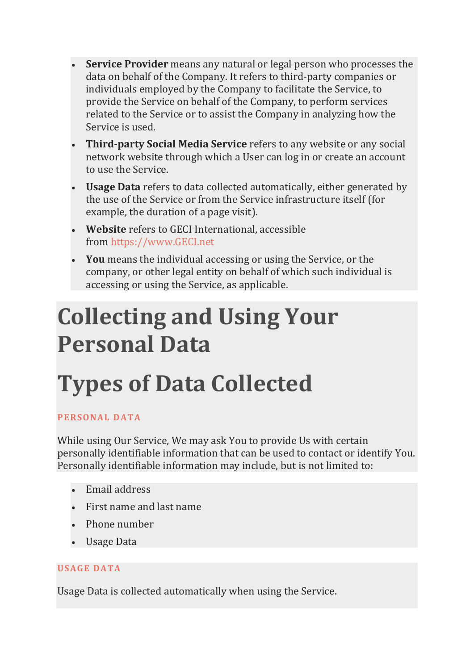- Service Provider means any natural or legal person who processes the data on behalf of the Company. It refers to third-party companies or individuals employed by the Company to facilitate the Service, to provide the Service on behalf of the Company, to perform services related to the Service or to assist the Company in analyzing how the Service is used.
- Third-party Social Media Service refers to any website or any social network website through which a User can log in or create an account to use the Service.
- Usage Data refers to data collected automatically, either generated by the use of the Service or from the Service infrastructure itself (for example, the duration of a page visit).
- Website refers to GECI International, accessible from https://www.GECI.net
- You means the individual accessing or using the Service, or the company, or other legal entity on behalf of which such individual is accessing or using the Service, as applicable.

## Collecting and Using Your Personal Data

# Types of Data Collected

#### PERSONAL DATA

While using Our Service, We may ask You to provide Us with certain personally identifiable information that can be used to contact or identify You. Personally identifiable information may include, but is not limited to:

- Email address
- First name and last name
- Phone number
- Usage Data

#### USAGE DATA

Usage Data is collected automatically when using the Service.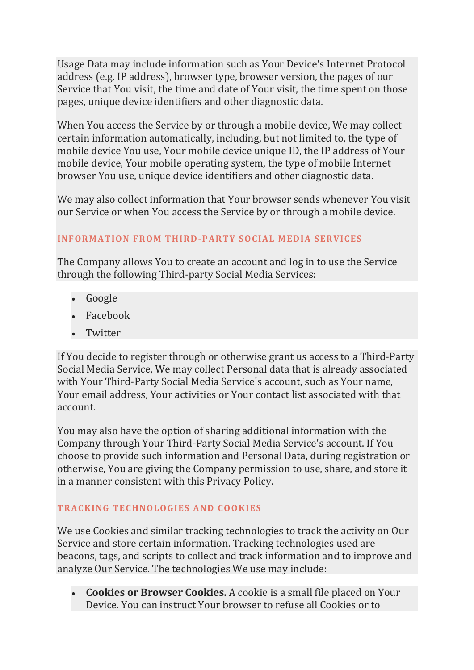Usage Data may include information such as Your Device's Internet Protocol address (e.g. IP address), browser type, browser version, the pages of our Service that You visit, the time and date of Your visit, the time spent on those pages, unique device identifiers and other diagnostic data.

When You access the Service by or through a mobile device, We may collect certain information automatically, including, but not limited to, the type of mobile device You use, Your mobile device unique ID, the IP address of Your mobile device, Your mobile operating system, the type of mobile Internet browser You use, unique device identifiers and other diagnostic data.

We may also collect information that Your browser sends whenever You visit our Service or when You access the Service by or through a mobile device.

#### INFORMATION FROM THIRD-PARTY SOCIAL MEDIA SERVICES

The Company allows You to create an account and log in to use the Service through the following Third-party Social Media Services:

- Google
- Facebook
- Twitter

If You decide to register through or otherwise grant us access to a Third-Party Social Media Service, We may collect Personal data that is already associated with Your Third-Party Social Media Service's account, such as Your name, Your email address, Your activities or Your contact list associated with that account.

You may also have the option of sharing additional information with the Company through Your Third-Party Social Media Service's account. If You choose to provide such information and Personal Data, during registration or otherwise, You are giving the Company permission to use, share, and store it in a manner consistent with this Privacy Policy.

#### TRACKING TECHNOLOGIES AND COOKIES

We use Cookies and similar tracking technologies to track the activity on Our Service and store certain information. Tracking technologies used are beacons, tags, and scripts to collect and track information and to improve and analyze Our Service. The technologies We use may include:

 Cookies or Browser Cookies. A cookie is a small file placed on Your Device. You can instruct Your browser to refuse all Cookies or to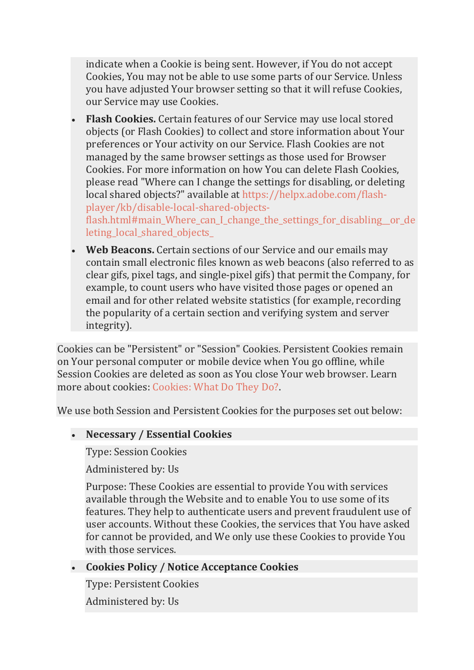indicate when a Cookie is being sent. However, if You do not accept Cookies, You may not be able to use some parts of our Service. Unless you have adjusted Your browser setting so that it will refuse Cookies, our Service may use Cookies.

- Flash Cookies. Certain features of our Service may use local stored objects (or Flash Cookies) to collect and store information about Your preferences or Your activity on our Service. Flash Cookies are not managed by the same browser settings as those used for Browser Cookies. For more information on how You can delete Flash Cookies, please read "Where can I change the settings for disabling, or deleting local shared objects?" available at https://helpx.adobe.com/flashplayer/kb/disable-local-shared-objectsflash.html#main\_Where\_can\_I\_change\_the\_settings\_for\_disabling\_\_or\_de leting\_local\_shared\_objects\_
- Web Beacons. Certain sections of our Service and our emails may contain small electronic files known as web beacons (also referred to as clear gifs, pixel tags, and single-pixel gifs) that permit the Company, for example, to count users who have visited those pages or opened an email and for other related website statistics (for example, recording the popularity of a certain section and verifying system and server integrity).

Cookies can be "Persistent" or "Session" Cookies. Persistent Cookies remain on Your personal computer or mobile device when You go offline, while Session Cookies are deleted as soon as You close Your web browser. Learn more about cookies: Cookies: What Do They Do?.

We use both Session and Persistent Cookies for the purposes set out below:

#### Necessary / Essential Cookies

Type: Session Cookies

Administered by: Us

Purpose: These Cookies are essential to provide You with services available through the Website and to enable You to use some of its features. They help to authenticate users and prevent fraudulent use of user accounts. Without these Cookies, the services that You have asked for cannot be provided, and We only use these Cookies to provide You with those services.

#### Cookies Policy / Notice Acceptance Cookies

Type: Persistent Cookies Administered by: Us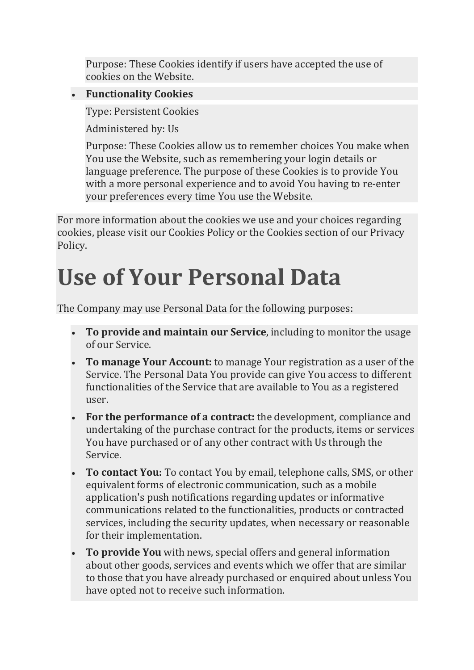Purpose: These Cookies identify if users have accepted the use of cookies on the Website.

### Functionality Cookies

Type: Persistent Cookies

Administered by: Us

Purpose: These Cookies allow us to remember choices You make when You use the Website, such as remembering your login details or language preference. The purpose of these Cookies is to provide You with a more personal experience and to avoid You having to re-enter your preferences every time You use the Website.

For more information about the cookies we use and your choices regarding cookies, please visit our Cookies Policy or the Cookies section of our Privacy Policy.

### Use of Your Personal Data

The Company may use Personal Data for the following purposes:

- To provide and maintain our Service, including to monitor the usage of our Service.
- To manage Your Account: to manage Your registration as a user of the Service. The Personal Data You provide can give You access to different functionalities of the Service that are available to You as a registered user.
- For the performance of a contract: the development, compliance and undertaking of the purchase contract for the products, items or services You have purchased or of any other contract with Us through the Service.
- To contact You: To contact You by email, telephone calls, SMS, or other equivalent forms of electronic communication, such as a mobile application's push notifications regarding updates or informative communications related to the functionalities, products or contracted services, including the security updates, when necessary or reasonable for their implementation.
- To provide You with news, special offers and general information about other goods, services and events which we offer that are similar to those that you have already purchased or enquired about unless You have opted not to receive such information.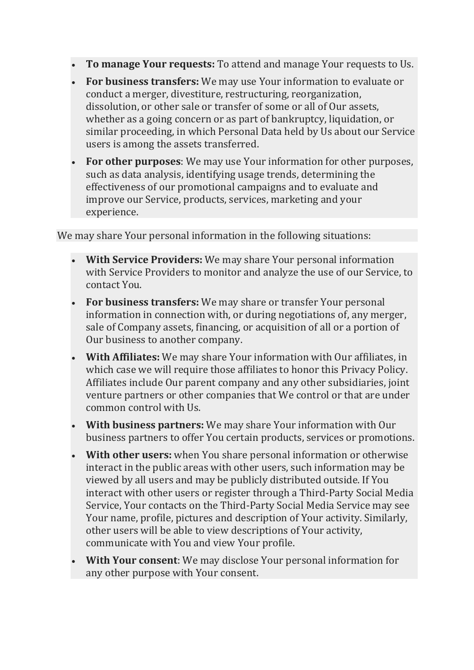- To manage Your requests: To attend and manage Your requests to Us.
- For business transfers: We may use Your information to evaluate or conduct a merger, divestiture, restructuring, reorganization, dissolution, or other sale or transfer of some or all of Our assets, whether as a going concern or as part of bankruptcy, liquidation, or similar proceeding, in which Personal Data held by Us about our Service users is among the assets transferred.
- **For other purposes:** We may use Your information for other purposes, such as data analysis, identifying usage trends, determining the effectiveness of our promotional campaigns and to evaluate and improve our Service, products, services, marketing and your experience.

We may share Your personal information in the following situations:

- With Service Providers: We may share Your personal information with Service Providers to monitor and analyze the use of our Service, to contact You.
- For business transfers: We may share or transfer Your personal information in connection with, or during negotiations of, any merger, sale of Company assets, financing, or acquisition of all or a portion of Our business to another company.
- With Affiliates: We may share Your information with Our affiliates, in which case we will require those affiliates to honor this Privacy Policy. Affiliates include Our parent company and any other subsidiaries, joint venture partners or other companies that We control or that are under common control with Us.
- With business partners: We may share Your information with Our business partners to offer You certain products, services or promotions.
- With other users: when You share personal information or otherwise interact in the public areas with other users, such information may be viewed by all users and may be publicly distributed outside. If You interact with other users or register through a Third-Party Social Media Service, Your contacts on the Third-Party Social Media Service may see Your name, profile, pictures and description of Your activity. Similarly, other users will be able to view descriptions of Your activity, communicate with You and view Your profile.
- With Your consent: We may disclose Your personal information for any other purpose with Your consent.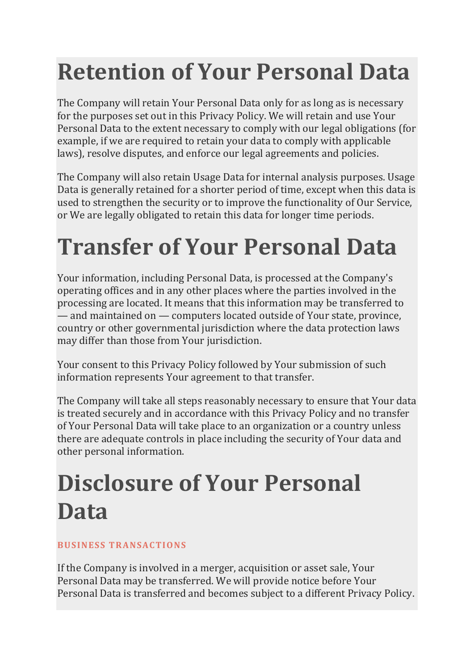# Retention of Your Personal Data

The Company will retain Your Personal Data only for as long as is necessary for the purposes set out in this Privacy Policy. We will retain and use Your Personal Data to the extent necessary to comply with our legal obligations (for example, if we are required to retain your data to comply with applicable laws), resolve disputes, and enforce our legal agreements and policies.

The Company will also retain Usage Data for internal analysis purposes. Usage Data is generally retained for a shorter period of time, except when this data is used to strengthen the security or to improve the functionality of Our Service, or We are legally obligated to retain this data for longer time periods.

### Transfer of Your Personal Data

Your information, including Personal Data, is processed at the Company's operating offices and in any other places where the parties involved in the processing are located. It means that this information may be transferred to — and maintained on — computers located outside of Your state, province, country or other governmental jurisdiction where the data protection laws may differ than those from Your jurisdiction.

Your consent to this Privacy Policy followed by Your submission of such information represents Your agreement to that transfer.

The Company will take all steps reasonably necessary to ensure that Your data is treated securely and in accordance with this Privacy Policy and no transfer of Your Personal Data will take place to an organization or a country unless there are adequate controls in place including the security of Your data and other personal information.

### Disclosure of Your Personal Data

#### **BUSINESS TRANSACTIONS**

If the Company is involved in a merger, acquisition or asset sale, Your Personal Data may be transferred. We will provide notice before Your Personal Data is transferred and becomes subject to a different Privacy Policy.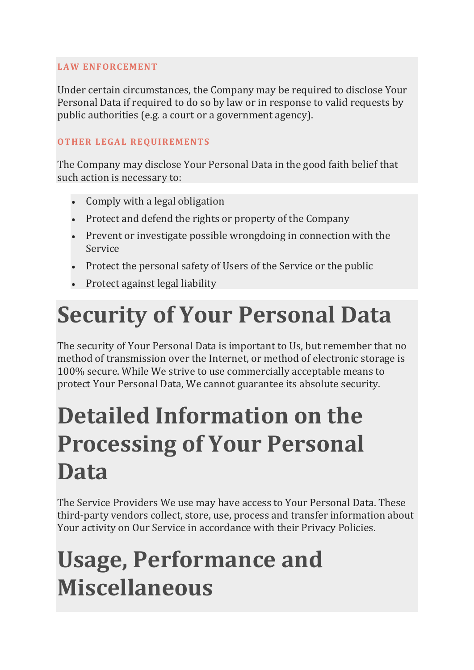#### L AW ENFORCEMENT

Under certain circumstances, the Company may be required to disclose Your Personal Data if required to do so by law or in response to valid requests by public authorities (e.g. a court or a government agency).

#### OTHER LEGAL REQUIREMENTS

The Company may disclose Your Personal Data in the good faith belief that such action is necessary to:

- Comply with a legal obligation
- Protect and defend the rights or property of the Company
- Prevent or investigate possible wrongdoing in connection with the Service
- Protect the personal safety of Users of the Service or the public
- Protect against legal liability

### Security of Your Personal Data

The security of Your Personal Data is important to Us, but remember that no method of transmission over the Internet, or method of electronic storage is 100% secure. While We strive to use commercially acceptable means to protect Your Personal Data, We cannot guarantee its absolute security.

### Detailed Information on the Processing of Your Personal Data

The Service Providers We use may have access to Your Personal Data. These third-party vendors collect, store, use, process and transfer information about Your activity on Our Service in accordance with their Privacy Policies.

### Usage, Performance and Miscellaneous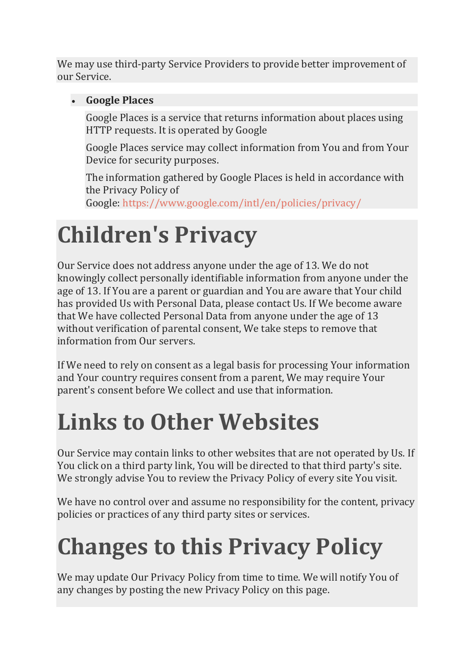We may use third-party Service Providers to provide better improvement of our Service.

### Google Places

Google Places is a service that returns information about places using HTTP requests. It is operated by Google

Google Places service may collect information from You and from Your Device for security purposes.

The information gathered by Google Places is held in accordance with the Privacy Policy of

Google: https://www.google.com/intl/en/policies/privacy/

### Children's Privacy

Our Service does not address anyone under the age of 13. We do not knowingly collect personally identifiable information from anyone under the age of 13. If You are a parent or guardian and You are aware that Your child has provided Us with Personal Data, please contact Us. If We become aware that We have collected Personal Data from anyone under the age of 13 without verification of parental consent, We take steps to remove that information from Our servers.

If We need to rely on consent as a legal basis for processing Your information and Your country requires consent from a parent, We may require Your parent's consent before We collect and use that information.

### Links to Other Websites

Our Service may contain links to other websites that are not operated by Us. If You click on a third party link, You will be directed to that third party's site. We strongly advise You to review the Privacy Policy of every site You visit.

We have no control over and assume no responsibility for the content, privacy policies or practices of any third party sites or services.

# Changes to this Privacy Policy

We may update Our Privacy Policy from time to time. We will notify You of any changes by posting the new Privacy Policy on this page.